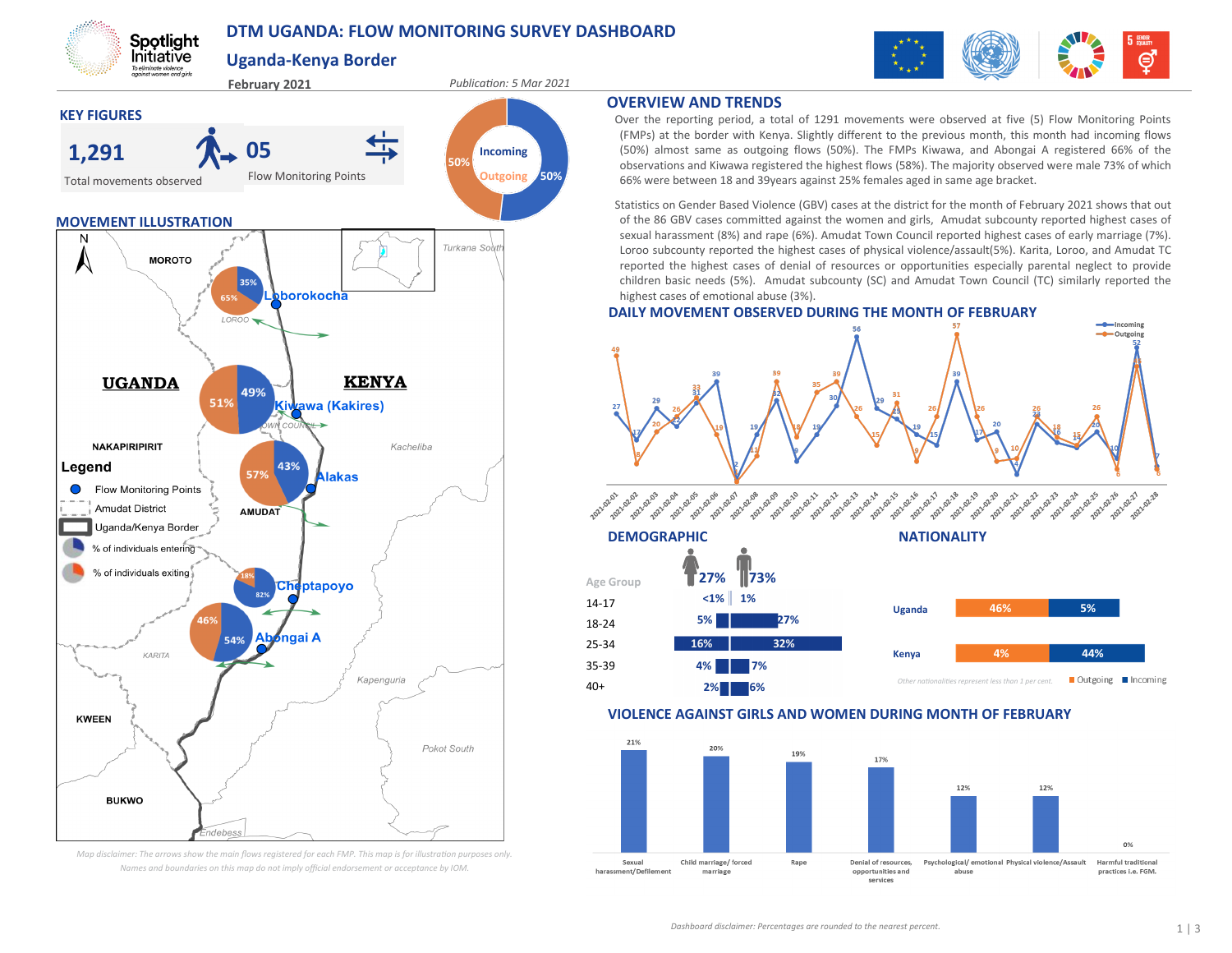# **DTM UGANDA: FLOW MONITORING SURVEY DASHBOARD**

**Uganda-Kenya Border**

Spotlight **Initiative** 



*Map disclaimer: The arrows show the main flows registered for each FMP. This map is for illustration purposes only. Names and boundaries on this map do not imply official endorsement or acceptance by IOM.*



### **OVERVIEW AND TRENDS**

Over the reporting period, a total of 1291 movements were observed at five (5) Flow Monitoring Points (FMPs) at the border with Kenya. Slightly different to the previous month, this month had incoming flows (50%) almost same as outgoing flows (50%). The FMPs Kiwawa, and Abongai A registered 66% of the observations and Kiwawa registered the highest flows (58%). The majority observed were male 73% of which 66% were between 18 and 39years against 25% females aged in same age bracket.

Statistics on Gender Based Violence (GBV) cases at the district for the month of February 2021 shows that out of the 86 GBV cases committed against the women and girls, Amudat subcounty reported highest cases of sexual harassment (8%) and rape (6%). Amudat Town Council reported highest cases of early marriage (7%). Loroo subcounty reported the highest cases of physical violence/assault(5%). Karita, Loroo, and Amudat TC reported the highest cases of denial of resources or opportunities especially parental neglect to provide children basic needs (5%). Amudat subcounty (SC) and Amudat Town Council (TC) similarly reported the highest cases of emotional abuse (3%).

### **DAILY MOVEMENT OBSERVED DURING THE MONTH OF FEBRUARY**



### **VIOLENCE AGAINST GIRLS AND WOMEN DURING MONTH OF FEBRUARY**

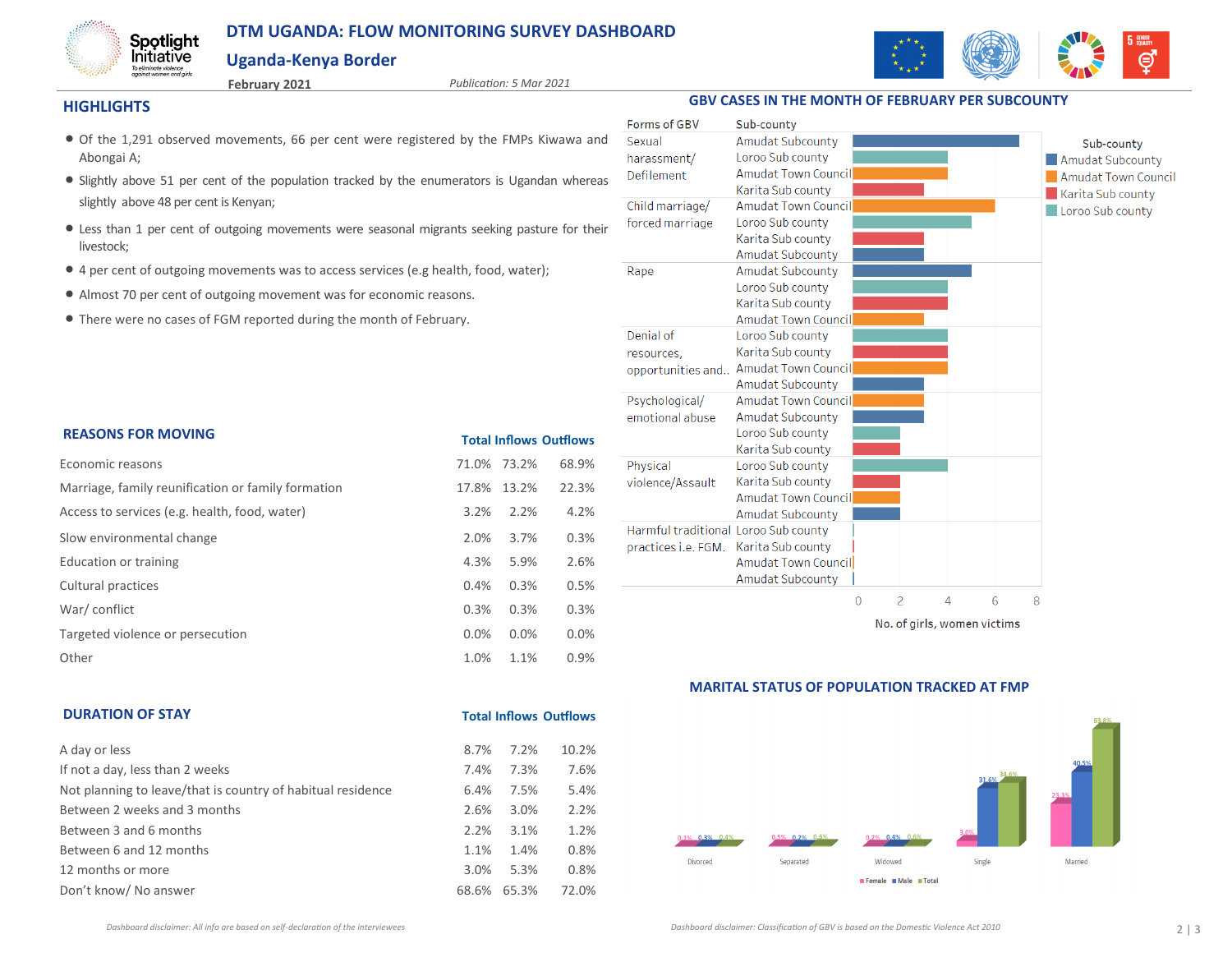# **DTM UGANDA: FLOW MONITORING SURVEY DASHBOARD**

**February 2021** *Publication: 5 Mar 2021*

# **Uganda-Kenya Border**



#### **HIGHLIGHTS**

Spotlight **Initiative** To eliminate violence<br>against women and girls

- Of the 1,291 observed movements, 66 per cent were registered by the FMPs Kiwawa and Abongai A;
- Slightly above 51 per cent of the population tracked by the enumerators is Ugandan whereas slightly above 48 per cent is Kenyan;
- Less than 1 per cent of outgoing movements were seasonal migrants seeking pasture for their livestock;
- 4 per cent of outgoing movements was to access services (e.g health, food, water);
- Almost 70 per cent of outgoing movement was for economic reasons.
- There were no cases of FGM reported during the month of February.

| <b>REASONS FOR MOVING</b>                          | <b>Total Inflows Outflows</b> |             |       |  |  |
|----------------------------------------------------|-------------------------------|-------------|-------|--|--|
| Economic reasons                                   |                               | 71.0% 73.2% | 68.9% |  |  |
| Marriage, family reunification or family formation | 17.8%                         | 13.2%       | 22.3% |  |  |
| Access to services (e.g. health, food, water)      | 3.2%                          | 2.2%        | 4.2%  |  |  |
| Slow environmental change                          | 2.0%                          | 3.7%        | 0.3%  |  |  |
| Education or training                              | 4.3%                          | 5.9%        | 2.6%  |  |  |
| Cultural practices                                 | 0.4%                          | 0.3%        | 0.5%  |  |  |
| War/conflict                                       | 0.3%                          | 0.3%        | 0.3%  |  |  |
| Targeted violence or persecution                   | 0.0%                          | 0.0%        | 0.0%  |  |  |
| Other                                              | 1.0%                          | 1.1%        | 0.9%  |  |  |

| Forms of GBV<br>Sexual               | Sub-county<br>Amudat Subcounty |          |               |                             |   | Sub-county                 |
|--------------------------------------|--------------------------------|----------|---------------|-----------------------------|---|----------------------------|
| harassment/                          | Loroo Sub county               |          |               |                             |   | <b>Amudat Subcounty</b>    |
| Defilement                           | <b>Amudat Town Council</b>     |          |               |                             |   | <b>Amudat Town Council</b> |
|                                      | Karita Sub county              |          |               |                             |   |                            |
| Child marriage/                      | <b>Amudat Town Council</b>     |          |               |                             |   | Karita Sub county          |
| forced marriage                      | Loroo Sub county               |          |               |                             |   | Loroo Sub county           |
|                                      | Karita Sub county              |          |               |                             |   |                            |
|                                      | Amudat Subcounty               |          |               |                             |   |                            |
| Rape                                 | Amudat Subcounty               |          |               |                             |   |                            |
|                                      | Loroo Sub county               |          |               |                             |   |                            |
|                                      | Karita Sub county              |          |               |                             |   |                            |
|                                      | <b>Amudat Town Council</b>     |          |               |                             |   |                            |
| Denial of                            | Loroo Sub county               |          |               |                             |   |                            |
| resources,                           | Karita Sub county              |          |               |                             |   |                            |
| opportunities and                    | Amudat Town Council            |          |               |                             |   |                            |
|                                      | <b>Amudat Subcounty</b>        |          |               |                             |   |                            |
| Psychological/                       | <b>Amudat Town Council</b>     |          |               |                             |   |                            |
| emotional abuse                      | Amudat Subcounty               |          |               |                             |   |                            |
|                                      | Loroo Sub county               |          |               |                             |   |                            |
|                                      | Karita Sub county              |          |               |                             |   |                            |
| Physical                             | Loroo Sub county               |          |               |                             |   |                            |
| violence/Assault                     | Karita Sub county              |          |               |                             |   |                            |
|                                      | Amudat Town Council            |          |               |                             |   |                            |
|                                      | Amudat Subcounty               |          |               |                             |   |                            |
| Harmful traditional Loroo Sub county |                                |          |               |                             |   |                            |
| practices i.e. FGM.                  | Karita Sub county              |          |               |                             |   |                            |
|                                      | Amudat Town Council            |          |               |                             |   |                            |
|                                      | Amudat Subcounty               |          |               |                             |   |                            |
|                                      |                                | $\Omega$ | $\mathcal{P}$ | 4                           | 6 | 8                          |
|                                      |                                |          |               | No. of girls, women victims |   |                            |

**GBV CASES IN THE MONTH OF FEBRUARY PER SUBCOUNTY**

**MARITAL STATUS OF POPULATION TRACKED AT FMP**



### **DURATION OF STAY**

| A day or less                                               | 8.7%    | 7.2%  | 10.2% |
|-------------------------------------------------------------|---------|-------|-------|
| If not a day, less than 2 weeks                             | 7.4%    | 7.3%  | 7.6%  |
| Not planning to leave/that is country of habitual residence | 6.4%    | 7.5%  | 5.4%  |
| Between 2 weeks and 3 months                                | 2.6%    | 3.0%  | 2.2%  |
| Between 3 and 6 months                                      | 2.2%    | 3.1%  | 1.2%  |
| Between 6 and 12 months                                     | 1.1%    | 1.4%  | 0.8%  |
| 12 months or more                                           | $3.0\%$ | 5.3%  | 0.8%  |
| Don't know/ No answer                                       | 68.6%   | 65.3% | 72.0% |

**Total Inflows Outflows**